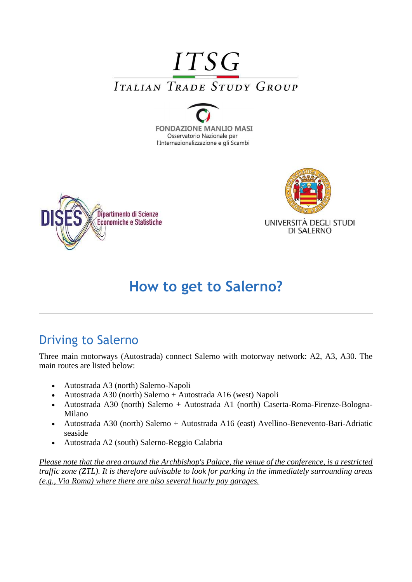# **ITSG ITALIAN TRADE STUDY GROUP**







# **How to get to Salerno?**

### Driving to Salerno

Three main motorways (Autostrada) connect Salerno with motorway network: A2, A3, A30. The main routes are listed below:

- Autostrada A3 (north) Salerno-Napoli
- Autostrada A30 (north) Salerno + Autostrada A16 (west) Napoli
- Autostrada A30 (north) Salerno + Autostrada A1 (north) Caserta-Roma-Firenze-Bologna-Milano
- Autostrada A30 (north) Salerno + Autostrada A16 (east) Avellino-Benevento-Bari-Adriatic seaside
- Autostrada A2 (south) Salerno-Reggio Calabria

*Please note that the area around the Archbishop's Palace, the venue of the conference, is a restricted traffic zone (ZTL). It is therefore advisable to look for parking in the immediately surrounding areas (e.g., Via Roma) where there are also several hourly pay garages.*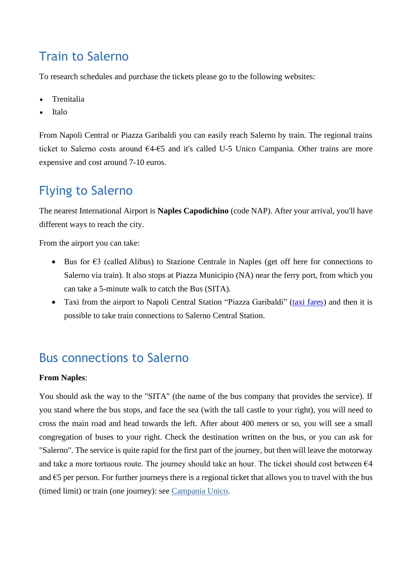#### Train to Salerno

To research schedules and purchase the tickets please go to the following websites:

- **[Trenitalia](http://www.trenitalia.com/)**
- [Italo](http://www.italotreno.it/EN/Pages/default.aspx)

From Napoli Central or Piazza Garibaldi you can easily reach Salerno by train. The regional trains ticket to Salerno costs around €4-€5 and it's called U-5 Unico Campania. Other trains are more expensive and cost around 7-10 euros.

### Flying to Salerno

The nearest International Airport is **[Naples Capodichino](http://www.portal.gesac.it/portal/page/portal/internet)** (code NAP). After your arrival, you'll have different ways to reach the city.

From the airport you can take:

- Bus for €3 (called [Alibus\)](https://www.anm.it/default.php?ids=15) to Stazione Centrale in Naples (get off here for connections to Salerno via train). It also stops at Piazza Municipio (NA) near the ferry port, from which you can take a 5-minute walk to catch the Bus [\(SITA\)](http://www.sitasudtrasporti.it/).
- Taxi from the airport to Napoli Central Station "Piazza Garibaldi" [\(taxi fares\)](https://www.aeroportodinapoli.it/documents/10186/35732/TariffeTaxi_Luglio2017.pdf/300c4e16-e8e3-4a9c-ad68-ae5b55e75328) and then it is possible to take train connections to Salerno Central Station.

#### Bus connections to Salerno

#### **From Naples**:

You should ask the way to the "SITA" (the name of the bus company that provides the service). If you stand where the bus stops, and face the sea (with the tall castle to your right), you will need to cross the main road and head towards the left. After about 400 meters or so, you will see a small congregation of buses to your right. Check the destination written on the bus, or you can ask for "Salerno". The service is quite rapid for the first part of the journey, but then will leave the motorway and take a more tortuous route. The journey should take an hour. The ticket should cost between  $64$ and  $\epsilon$ 5 per person. For further journeys there is a regional ticket that allows you to travel with the bus (timed limit) or train (one journey): see [Campania Unico.](http://www.unicocampania.it/index.php?lang=en)